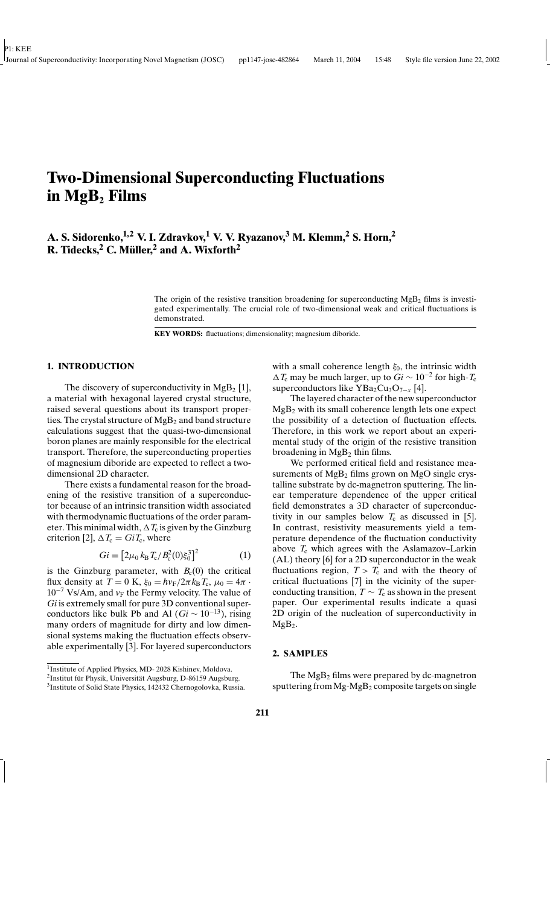# **Two-Dimensional Superconducting Fluctuations in MgB<sup>2</sup> Films**

# **A. S. Sidorenko, 1,2 V. I. Zdravkov, <sup>1</sup> V. V. Ryazanov, <sup>3</sup> M. Klemm, <sup>2</sup> S. Horn, 2 R. Tidecks,<sup>2</sup> C. Müller,<sup>2</sup> and A. Wixforth<sup>2</sup>**

The origin of the resistive transition broadening for superconducting  $MgB<sub>2</sub>$  films is investigated experimentally. The crucial role of two-dimensional weak and critical fluctuations is demonstrated.

**KEY WORDS:** fluctuations; dimensionality; magnesium diboride.

#### **1. INTRODUCTION**

The discovery of superconductivity in  $MgB_2$  [1], a material with hexagonal layered crystal structure, raised several questions about its transport properties. The crystal structure of  $MgB<sub>2</sub>$  and band structure calculations suggest that the quasi-two-dimensional boron planes are mainly responsible for the electrical transport. Therefore, the superconducting properties of magnesium diboride are expected to reflect a twodimensional 2D character.

There exists a fundamental reason for the broadening of the resistive transition of a superconductor because of an intrinsic transition width associated with thermodynamic fluctuations of the order parameter. This minimal width,  $\Delta T_c$  is given by the Ginzburg criterion [2],  $\Delta T_c = GiT_c$ , where

$$
Gi = [2\mu_0 k_B T_c / B_c^2(0)\xi_0^3]^2 \tag{1}
$$

is the Ginzburg parameter, with  $B_c(0)$  the critical flux density at  $T = 0$  K,  $\xi_0 = \hbar v_F/2\pi k_B T_c$ ,  $\mu_0 = 4\pi$ .  $10^{-7}$  Vs/Am, and  $v_F$  the Fermy velocity. The value of *Gi* is extremely small for pure 3D conventional superconductors like bulk Pb and Al  $(Gi \sim 10^{-13})$ , rising many orders of magnitude for dirty and low dimensional systems making the fluctuation effects observable experimentally [3]. For layered superconductors

with a small coherence length  $\xi_0$ , the intrinsic width 1*T*<sup>c</sup> may be much larger, up to *Gi* ∼ 10 −2 for high-*T*<sup>c</sup> superconductors like YBa<sub>2</sub>Cu<sub>3</sub>O<sub>7−*x*</sub> [4].

The layered character of the new superconductor  $MgB<sub>2</sub>$  with its small coherence length lets one expect the possibility of a detection of fluctuation effects. Therefore, in this work we report about an experimental study of the origin of the resistive transition broadening in  $MgB<sub>2</sub>$  thin films.

We performed critical field and resistance measurements of  $MgB<sub>2</sub>$  films grown on  $MgO$  single crystalline substrate by dc-magnetron sputtering. The linear temperature dependence of the upper critical field demonstrates a 3D character of superconductivity in our samples below  $T_c$  as discussed in [5]. In contrast, resistivity measurements yield a temperature dependence of the fluctuation conductivity above  $T_c$  which agrees with the Aslamazov–Larkin (AL) theory [6] for a 2D superconductor in the weak fluctuations region,  $T > T_c$  and with the theory of critical fluctuations [7] in the vicinity of the superconducting transition,  $T \sim T_c$  as shown in the present paper. Our experimental results indicate a quasi 2D origin of the nucleation of superconductivity in  $MgB<sub>2</sub>$ .

## **2. SAMPLES**

The MgB<sup>2</sup> films were prepared by dc-magnetron sputtering from  $Mg-MgB_2$  composite targets on single

<sup>&</sup>lt;sup>1</sup> Institute of Applied Physics, MD- 2028 Kishinev, Moldova.

<sup>&</sup>lt;sup>2</sup>Institut für Physik, Universität Augsburg, D-86159 Augsburg.

<sup>&</sup>lt;sup>3</sup> Institute of Solid State Physics, 142432 Chernogolovka, Russia.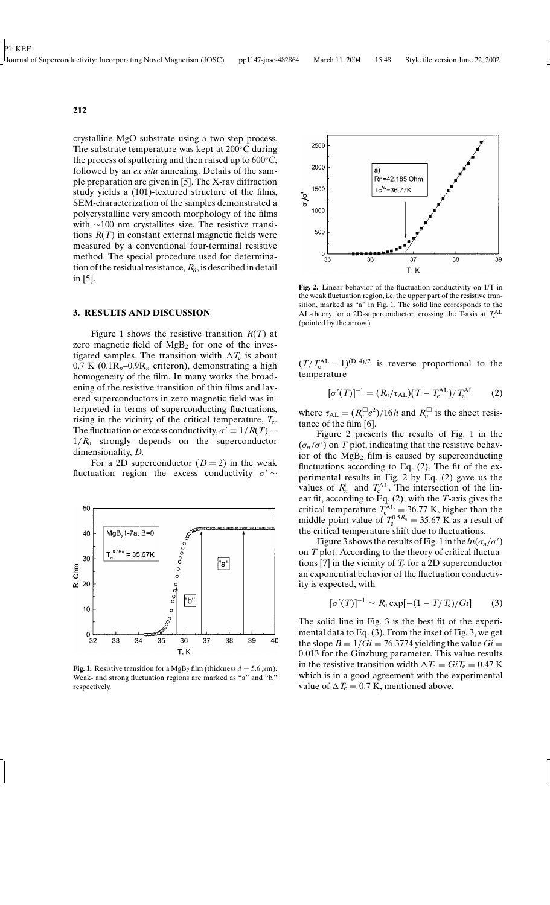crystalline MgO substrate using a two-step process. The substrate temperature was kept at  $200^{\circ}$ C during the process of sputtering and then raised up to  $600^{\circ}$ C, followed by an *ex situ* annealing. Details of the sample preparation are given in [5]. The X-ray diffraction study yields a (101)-textured structure of the films, SEM-characterization of the samples demonstrated a polycrystalline very smooth morphology of the films with ∼100 nm crystallites size. The resistive transitions *R*(*T*) in constant external magnetic fields were measured by a conventional four-terminal resistive method. The special procedure used for determination of the residual resistance,  $R_n$ , is described in detail in [5].

#### **3. RESULTS AND DISCUSSION**

Figure 1 shows the resistive transition *R*(*T*) at zero magnetic field of  $MgB<sub>2</sub>$  for one of the investigated samples. The transition width  $\Delta T_c$  is about  $0.7$  K ( $0.1R_n-0.9R_n$  criteron), demonstrating a high homogeneity of the film. In many works the broadening of the resistive transition of thin films and layered superconductors in zero magnetic field was interpreted in terms of superconducting fluctuations, rising in the vicinity of the critical temperature,  $T_c$ . The fluctuation or excess conductivity,  $\sigma' \equiv 1/R(T)$  –  $1/R_n$  strongly depends on the superconductor dimensionality, *D*.

For a 2D superconductor  $(D = 2)$  in the weak fluctuation region the excess conductivity  $\sigma' \sim$ 



**Fig. 1.** Resistive transition for a MgB<sub>2</sub> film (thickness  $d = 5.6 \,\mu\text{m}$ ). Weak- and strong fluctuation regions are marked as "a" and "b," respectively.



**Fig. 2.** Linear behavior of the fluctuation conductivity on 1/T in the weak fluctuation region, i.e. the upper part of the resistive transition, marked as "a" in Fig. 1. The solid line corresponds to the AL-theory for a 2D-superconductor, crossing the T-axis at  $T_c^{\text{AL}}$ (pointed by the arrow.)

 $(T/T_c^{\text{AL}} - 1)^{(D-4)/2}$  is reverse proportional to the temperature

$$
[\sigma'(T)]^{-1} = (R_n/\tau_{\rm AL}) (T - T_{\rm c}^{\rm AL}) / T_{\rm c}^{\rm AL}
$$
 (2)

where  $\tau_{AL} = (R_n^{\square}e^2)/16h$  and  $R_n^{\square}$  is the sheet resistance of the film [6].

Figure 2 presents the results of Fig. 1 in the  $(\sigma_n/\sigma')$  on *T* plot, indicating that the resistive behavior of the  $MgB<sub>2</sub>$  film is caused by superconducting fluctuations according to Eq. (2). The fit of the experimental results in Fig. 2 by Eq. (2) gave us the values of  $R_n^{\square}$  and  $T_c^{\text{AL}}$ . The intersection of the linear fit, according to Eq. (2), with the *T*-axis gives the critical temperature  $T_{c}^{\text{AL}} = 36.77 \text{ K}$ , higher than the middle-point value of  $T_c^{0.5R_n} = 35.67$  K as a result of the critical temperature shift due to fluctuations.

Figure 3 shows the results of Fig. 1 in the  $ln(\sigma_n/\sigma')$ on *T* plot. According to the theory of critical fluctuations [7] in the vicinity of  $T_c$  for a 2D superconductor an exponential behavior of the fluctuation conductivity is expected, with

$$
[\sigma'(T)]^{-1} \sim R_n \exp[-(1 - T/T_c)/Gi] \qquad (3)
$$

The solid line in Fig. 3 is the best fit of the experimental data to Eq. (3). From the inset of Fig. 3, we get the slope  $B = 1/Gi = 76.3774$  yielding the value  $Gi =$ 0.013 for the Ginzburg parameter. This value results in the resistive transition width  $\Delta T_c = GiT_c = 0.47$  K which is in a good agreement with the experimental value of  $\Delta T_c = 0.7$  K, mentioned above.